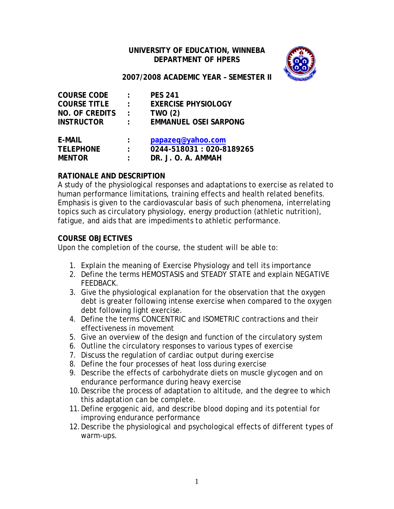## **UNIVERSITY OF EDUCATION, WINNEBA DEPARTMENT OF HPERS**



### **2007/2008 ACADEMIC YEAR – SEMESTER II**

| <b>COURSE CODE</b>    | $\ddot{\phantom{a}}$ | <b>PES 241</b>               |
|-----------------------|----------------------|------------------------------|
| <b>COURSE TITLE</b>   | $\ddot{\phantom{a}}$ | <b>EXERCISE PHYSIOLOGY</b>   |
| <b>NO. OF CREDITS</b> | $\cdot$ :            | <b>TWO (2)</b>               |
| <b>INSTRUCTOR</b>     | ÷                    | <b>EMMANUEL OSEI SARPONG</b> |
| E-MAIL                |                      | papazeq@yahoo.com            |
| <b>TELEPHONE</b>      | $\ddot{\cdot}$       | 0244-518031:020-8189265      |
| <b>MENTOR</b>         |                      | DR. J. O. A. AMMAH           |

### **RATIONALE AND DESCRIPTION**

A study of the physiological responses and adaptations to exercise as related to human performance limitations, training effects and health related benefits. Emphasis is given to the cardiovascular basis of such phenomena, interrelating topics such as circulatory physiology, energy production (athletic nutrition), fatigue, and aids that are impediments to athletic performance.

### **COURSE OBJECTIVES**

Upon the completion of the course, the student will be able to:

- 1. Explain the meaning of Exercise Physiology and tell its importance
- 2. Define the terms HEMOSTASIS and STEADY STATE and explain NEGATIVE FEEDBACK.
- 3. Give the physiological explanation for the observation that the oxygen debt is greater following intense exercise when compared to the oxygen debt following light exercise.
- 4. Define the terms CONCENTRIC and ISOMETRIC contractions and their effectiveness in movement
- 5. Give an overview of the design and function of the circulatory system
- 6. Outline the circulatory responses to various types of exercise
- 7. Discuss the regulation of cardiac output during exercise
- 8. Define the four processes of heat loss during exercise
- 9. Describe the effects of carbohydrate diets on muscle glycogen and on endurance performance during heavy exercise
- 10.Describe the process of adaptation to altitude, and the degree to which this adaptation can be complete.
- 11.Define ergogenic aid, and describe blood doping and its potential for improving endurance performance
- 12.Describe the physiological and psychological effects of different types of warm-ups.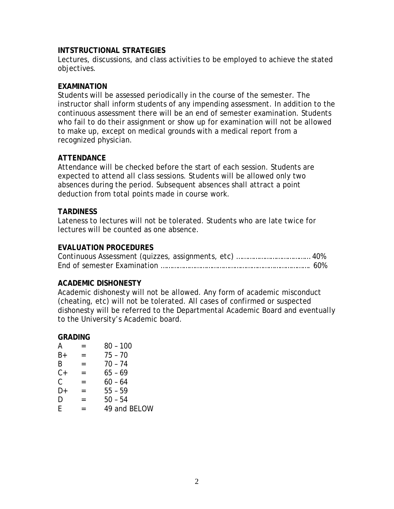### **INTSTRUCTIONAL STRATEGIES**

Lectures, discussions, and class activities to be employed to achieve the stated objectives.

### **EXAMINATION**

Students will be assessed periodically in the course of the semester. The instructor shall inform students of any impending assessment. In addition to the continuous assessment there will be an end of semester examination. Students who fail to do their assignment or show up for examination will not be allowed to make up, except on medical grounds with a medical report from a recognized physician.

## **ATTENDANCE**

Attendance will be checked before the start of each session. Students are expected to attend all class sessions. Students will be allowed only two absences during the period. Subsequent absences shall attract a point deduction from total points made in course work.

### **TARDINESS**

Lateness to lectures will not be tolerated. Students who are late twice for lectures will be counted as one absence.

## **EVALUATION PROCEDURES**

#### **ACADEMIC DISHONESTY**

Academic dishonesty will not be allowed. Any form of academic misconduct (cheating, etc) will not be tolerated. All cases of confirmed or suspected dishonesty will be referred to the Departmental Academic Board and eventually to the University's Academic board.

#### **GRADING**

| A             | =   | $80 - 100$   |
|---------------|-----|--------------|
| $B+$          | $=$ | $75 - 70$    |
| B             | $=$ | $70 - 74$    |
| $C+$          | $=$ | $65 - 69$    |
| $\mathcal{C}$ | $=$ | $60 - 64$    |
| D+            | =   | $55 - 59$    |
| D             | =   | $50 - 54$    |
| F             | =   | 49 and BELOW |